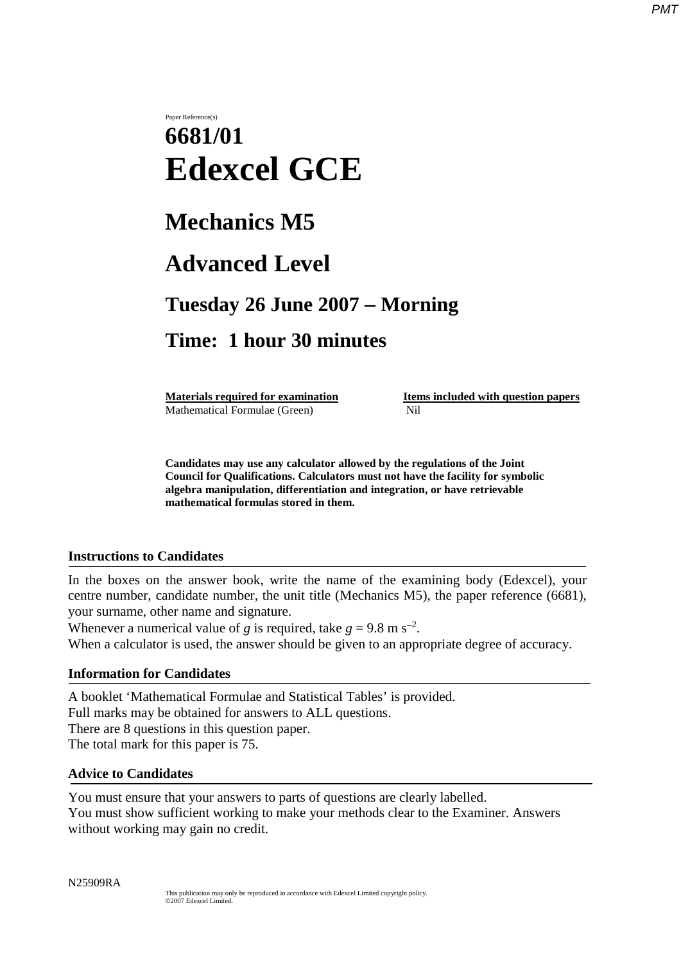# Paper Reference(s) **6681/01 Edexcel GCE**

# **Mechanics M5**

# **Advanced Level**

### **Tuesday 26 June 2007** − **Morning**

## **Time: 1 hour 30 minutes**

Mathematical Formulae (Green)Nil

**Materials required for examination Items included with question papers** 

**Candidates may use any calculator allowed by the regulations of the Joint Council for Qualifications. Calculators must not have the facility for symbolic algebra manipulation, differentiation and integration, or have retrievable mathematical formulas stored in them.**

### **Instructions to Candidates**

In the boxes on the answer book, write the name of the examining body (Edexcel), your centre number, candidate number, the unit title (Mechanics M5), the paper reference (6681), your surname, other name and signature.

Whenever a numerical value of *g* is required, take  $g = 9.8$  m s<sup>-2</sup>. When a calculator is used, the answer should be given to an appropriate degree of accuracy.

### **Information for Candidates**

A booklet 'Mathematical Formulae and Statistical Tables' is provided. Full marks may be obtained for answers to ALL questions. There are 8 questions in this question paper. The total mark for this paper is 75.

### **Advice to Candidates**

You must ensure that your answers to parts of questions are clearly labelled. You must show sufficient working to make your methods clear to the Examiner. Answers without working may gain no credit.

N25909RA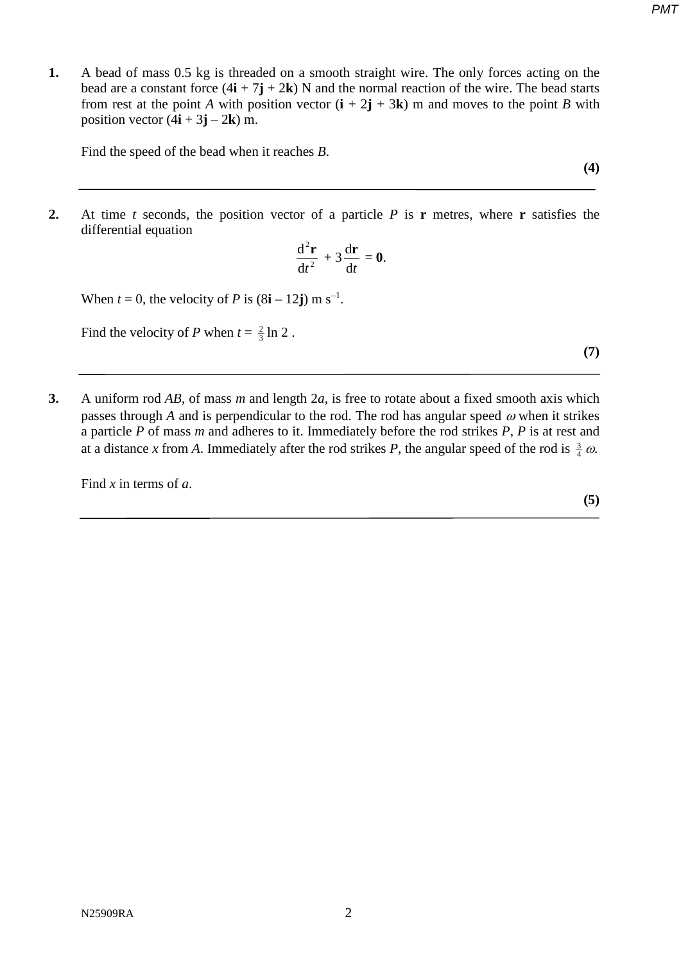- *PMT*
- **1.** A bead of mass 0.5 kg is threaded on a smooth straight wire. The only forces acting on the bead are a constant force  $(4\mathbf{i} + 7\mathbf{j} + 2\mathbf{k})$  N and the normal reaction of the wire. The bead starts from rest at the point *A* with position vector  $(i + 2j + 3k)$  m and moves to the point *B* with position vector  $(4\mathbf{i} + 3\mathbf{j} - 2\mathbf{k})$  m.

Find the speed of the bead when it reaches *B*.

**2.** At time *t* seconds, the position vector of a particle *P* is **r** metres, where **r** satisfies the differential equation

$$
\frac{\mathrm{d}^2\mathbf{r}}{\mathrm{d}t^2} + 3\frac{\mathrm{d}\mathbf{r}}{\mathrm{d}t} = \mathbf{0}.
$$

When  $t = 0$ , the velocity of *P* is  $(8i - 12j)$  m s<sup>-1</sup>.

Find the velocity of *P* when  $t = \frac{2}{3} \ln 2$ .

**3.** A uniform rod *AB*, of mass *m* and length 2*a*, is free to rotate about a fixed smooth axis which passes through *A* and is perpendicular to the rod. The rod has angular speed  $\omega$  when it strikes a particle *P* of mass *m* and adheres to it. Immediately before the rod strikes *P*, *P* is at rest and at a distance *x* from *A*. Immediately after the rod strikes *P*, the angular speed of the rod is  $\frac{3}{4} \omega$ .

Find *x* in terms of *a*.

**(7)**

**(4)**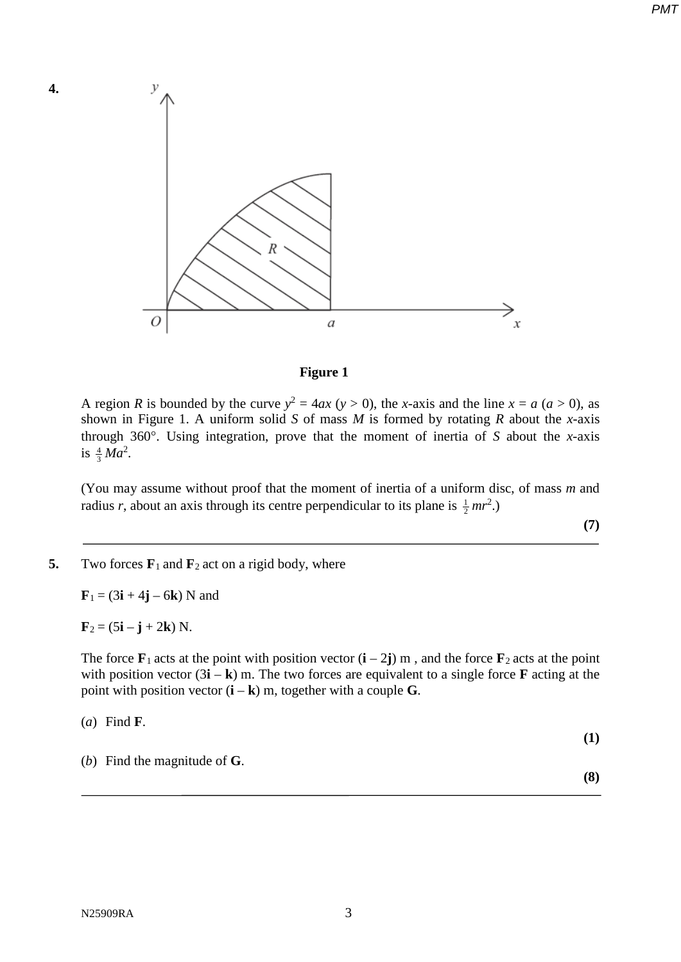

#### **Figure 1**

A region *R* is bounded by the curve  $y^2 = 4ax$  ( $y > 0$ ), the *x*-axis and the line  $x = a$  ( $a > 0$ ), as shown in Figure 1. A uniform solid *S* of mass *M* is formed by rotating *R* about the *x*-axis through 360°. Using integration, prove that the moment of inertia of *S* about the *x*-axis is  $\frac{4}{3}Ma^2$ .

(You may assume without proof that the moment of inertia of a uniform disc, of mass *m* and radius *r*, about an axis through its centre perpendicular to its plane is  $\frac{1}{2}mr^2$ .)

**(7)**

#### **5.** Two forces  $\mathbf{F}_1$  and  $\mathbf{F}_2$  act on a rigid body, where

 **N and** 

 **N.** 

**4.** 

The force  $\mathbf{F}_1$  acts at the point with position vector  $(\mathbf{i} - 2\mathbf{j})$  m, and the force  $\mathbf{F}_2$  acts at the point with position vector  $(3\mathbf{i} - \mathbf{k})$  m. The two forces are equivalent to a single force **F** acting at the point with position vector  $(i - k)$  m, together with a couple **G**.

| ( <i>a</i> ) Find <b>F</b> .         |            |
|--------------------------------------|------------|
|                                      | <b>(1)</b> |
| (b) Find the magnitude of $\bf{G}$ . |            |

**(8)**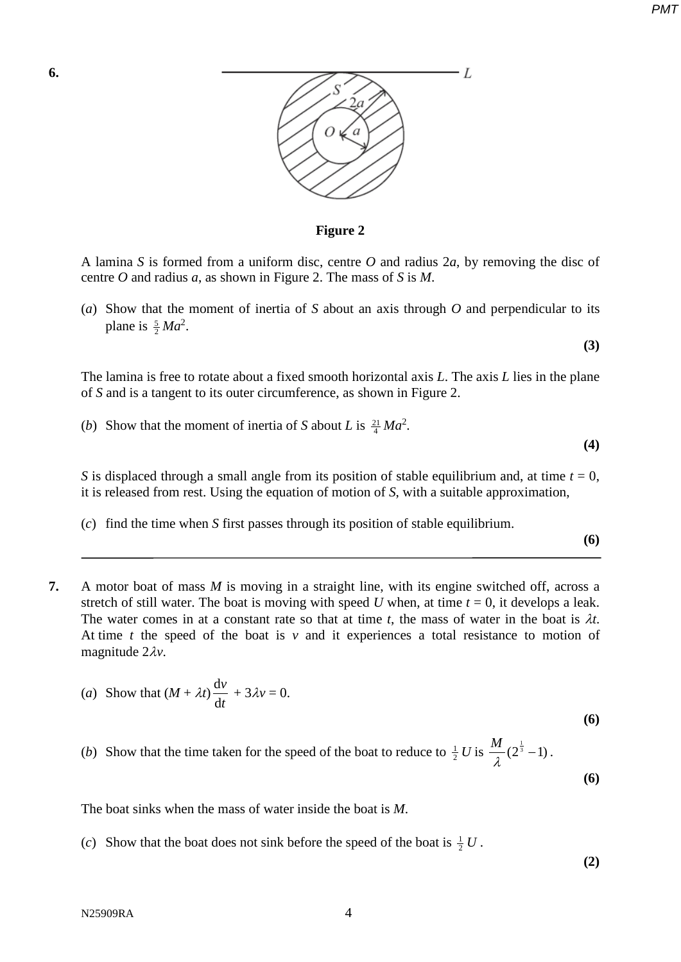*PMT*



**Figure 2**

A lamina *S* is formed from a uniform disc, centre *O* and radius 2*a*, by removing the disc of centre *O* and radius *a*, as shown in Figure 2. The mass of *S* is *M*.

(*a*) Show that the moment of inertia of *S* about an axis through *O* and perpendicular to its plane is  $\frac{5}{2}Ma^2$ .

The lamina is free to rotate about a fixed smooth horizontal axis *L*. The axis *L* lies in the plane of *S* and is a tangent to its outer circumference, as shown in Figure 2.

(*b*) Show that the moment of inertia of *S* about *L* is  $\frac{21}{4}Ma^2$ .

**(4)**

**(6)**

**(3)**

*S* is displaced through a small angle from its position of stable equilibrium and, at time  $t = 0$ , it is released from rest. Using the equation of motion of *S*, with a suitable approximation,

(*c*) find the time when *S* first passes through its position of stable equilibrium.

**7.** A motor boat of mass *M* is moving in a straight line, with its engine switched off, across a stretch of still water. The boat is moving with speed U when, at time  $t = 0$ , it develops a leak. The water comes in at a constant rate so that at time *t*, the mass of water in the boat is λ*t*. At time  $t$  the speed of the boat is  $v$  and it experiences a total resistance to motion of magnitude 2λ*v*.

(a) Show that 
$$
(M + \lambda t) \frac{dv}{dt} + 3\lambda v = 0
$$
.

(*b*) Show that the time taken for the speed of the boat to reduce to  $\frac{1}{2}U$  is  $\frac{M}{\lambda}(2^{\frac{1}{3}}-1)$ .

**(6)**

**(6)**

The boat sinks when the mass of water inside the boat is *M*.

(*c*) Show that the boat does not sink before the speed of the boat is  $\frac{1}{2}U$ .

**(2)**